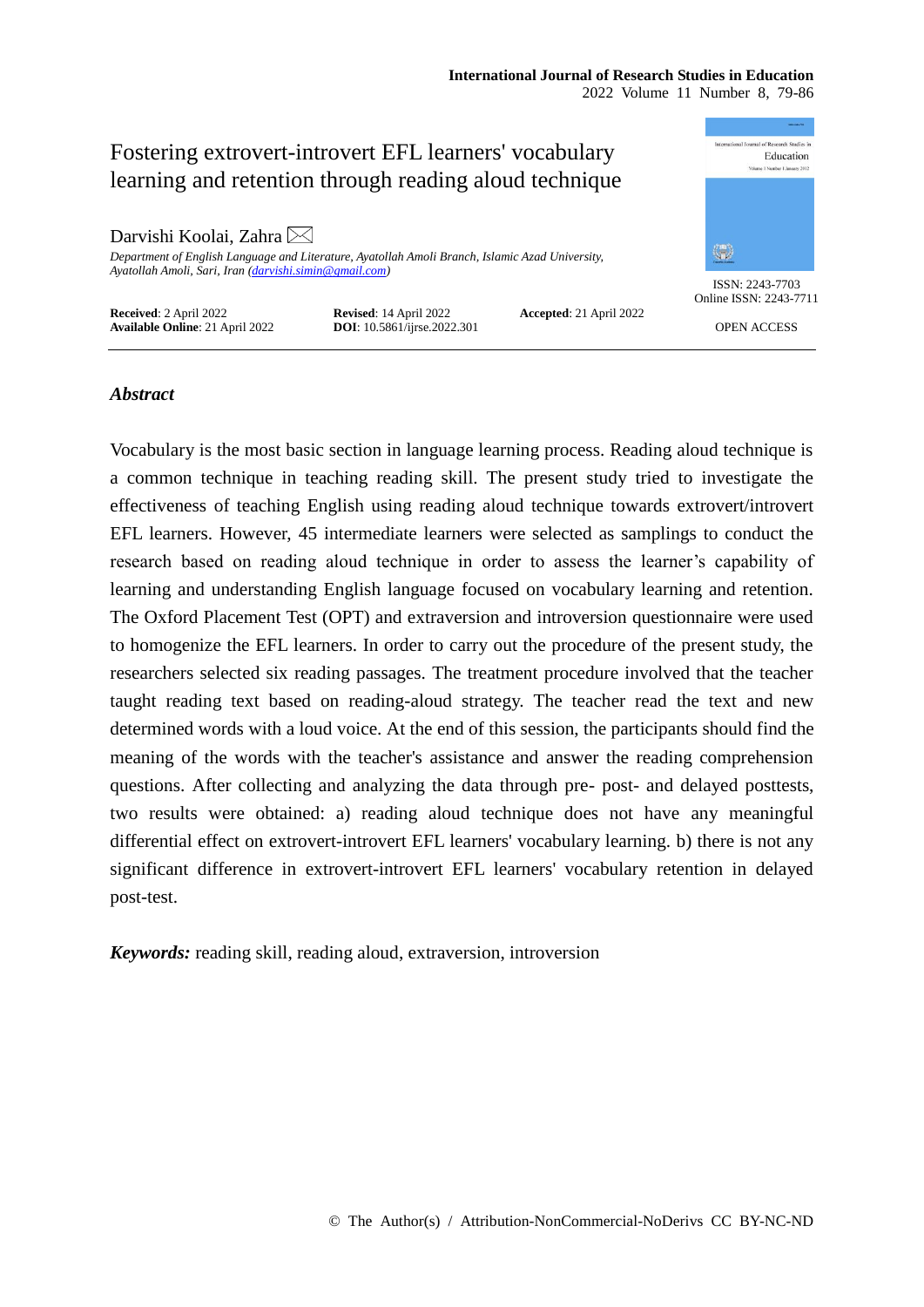### **International Journal of Research Studies in Education** 2022 Volume 11 Number 8, 79-86

mational Journal of Research Studies in Fostering extrovert-introvert EFL learners' vocabulary Education learning and retention through reading aloud technique Darvishi Koolai, Zahra  $\boxtimes$ \$ *Department of English Language and Literature, Ayatollah Amoli Branch, Islamic Azad University, Ayatollah Amoli, Sari, Iran [\(darvishi.simin@gmail.com\)](mailto:darvishi.simin@gmail.com)* ISSN: 2243-7703 Online ISSN: 2243-7711 **Received**: 2 April 2022 **Revised**: 14 April 2022 **Accepted**: 21 April 2022 **Available Online**: 21 April 2022 **DOI**: 10.5861/ijrse.2022.301 OPEN ACCESS

# *Abstract*

Vocabulary is the most basic section in language learning process. Reading aloud technique is a common technique in teaching reading skill. The present study tried to investigate the effectiveness of teaching English using reading aloud technique towards extrovert/introvert EFL learners. However, 45 intermediate learners were selected as samplings to conduct the research based on reading aloud technique in order to assess the learner's capability of learning and understanding English language focused on vocabulary learning and retention. The Oxford Placement Test (OPT) and extraversion and introversion questionnaire were used to homogenize the EFL learners. In order to carry out the procedure of the present study, the researchers selected six reading passages. The treatment procedure involved that the teacher taught reading text based on reading-aloud strategy. The teacher read the text and new determined words with a loud voice. At the end of this session, the participants should find the meaning of the words with the teacher's assistance and answer the reading comprehension questions. After collecting and analyzing the data through pre- post- and delayed posttests, two results were obtained: a) reading aloud technique does not have any meaningful differential effect on extrovert-introvert EFL learners' vocabulary learning. b) there is not any significant difference in extrovert-introvert EFL learners' vocabulary retention in delayed post-test.

*Keywords:* reading skill, reading aloud, extraversion, introversion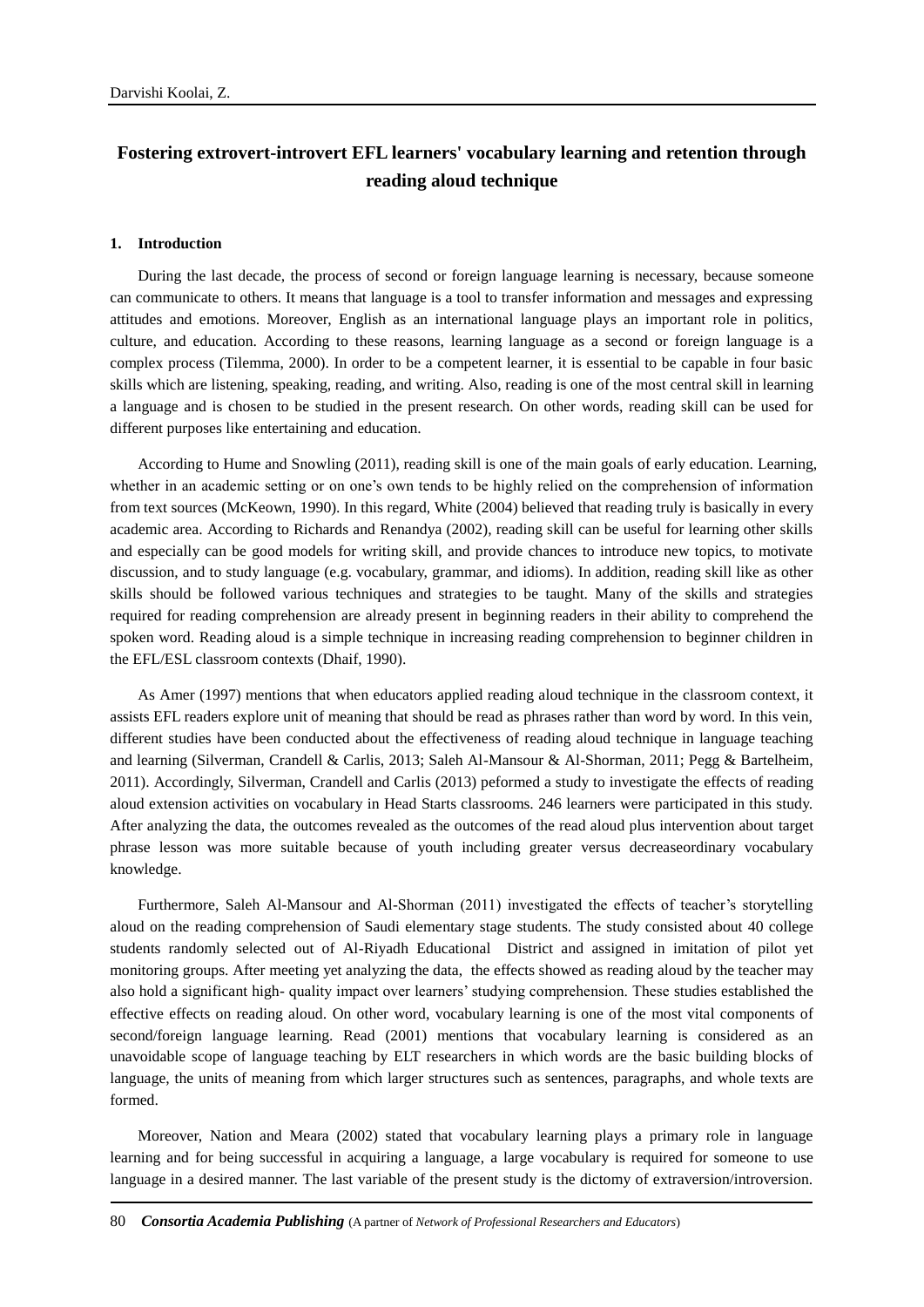# **Fostering extrovert-introvert EFL learners' vocabulary learning and retention through reading aloud technique**

#### **1. Introduction**

During the last decade, the process of second or foreign language learning is necessary, because someone can communicate to others. It means that language is a tool to transfer information and messages and expressing attitudes and emotions. Moreover, English as an international language plays an important role in politics, culture, and education. According to these reasons, learning language as a second or foreign language is a complex process (Tilemma, 2000). In order to be a competent learner, it is essential to be capable in four basic skills which are listening, speaking, reading, and writing. Also, reading is one of the most central skill in learning a language and is chosen to be studied in the present research. On other words, reading skill can be used for different purposes like entertaining and education.

According to Hume and Snowling (2011), reading skill is one of the main goals of early education. Learning, whether in an academic setting or on one's own tends to be highly relied on the comprehension of information from text sources (McKeown, 1990). In this regard, White (2004) believed that reading truly is basically in every academic area. According to Richards and Renandya (2002), reading skill can be useful for learning other skills and especially can be good models for writing skill, and provide chances to introduce new topics, to motivate discussion, and to study language (e.g. vocabulary, grammar, and idioms). In addition, reading skill like as other skills should be followed various techniques and strategies to be taught. Many of the skills and strategies required for reading comprehension are already present in beginning readers in their ability to comprehend the spoken word. Reading aloud is a simple technique in increasing reading comprehension to beginner children in the EFL/ESL classroom contexts (Dhaif, 1990).

As Amer (1997) mentions that when educators applied reading aloud technique in the classroom context, it assists EFL readers explore unit of meaning that should be read as phrases rather than word by word. In this vein, different studies have been conducted about the effectiveness of reading aloud technique in language teaching and learning (Silverman, Crandell & Carlis, 2013; Saleh Al-Mansour & Al-Shorman, 2011; Pegg & Bartelheim, 2011). Accordingly, Silverman, Crandell and Carlis (2013) peformed a study to investigate the effects of reading aloud extension activities on vocabulary in Head Starts classrooms. 246 learners were participated in this study. After analyzing the data, the outcomes revealed as the outcomes of the read aloud plus intervention about target phrase lesson was more suitable because of youth including greater versus decreaseordinary vocabulary knowledge.

Furthermore, Saleh Al-Mansour and Al-Shorman (2011) investigated the effects of teacher's storytelling aloud on the reading comprehension of Saudi elementary stage students. The study consisted about 40 college students randomly selected out of Al-Riyadh Educational District and assigned in imitation of pilot yet monitoring groups. After meeting yet analyzing the data, the effects showed as reading aloud by the teacher may also hold a significant high- quality impact over learners' studying comprehension. These studies established the effective effects on reading aloud. On other word, vocabulary learning is one of the most vital components of second/foreign language learning. Read (2001) mentions that vocabulary learning is considered as an unavoidable scope of language teaching by ELT researchers in which words are the basic building blocks of language, the units of meaning from which larger structures such as sentences, paragraphs, and whole texts are formed.

Moreover, Nation and Meara (2002) stated that vocabulary learning plays a primary role in language learning and for being successful in acquiring a language, a large vocabulary is required for someone to use language in a desired manner. The last variable of the present study is the dictomy of extraversion/introversion.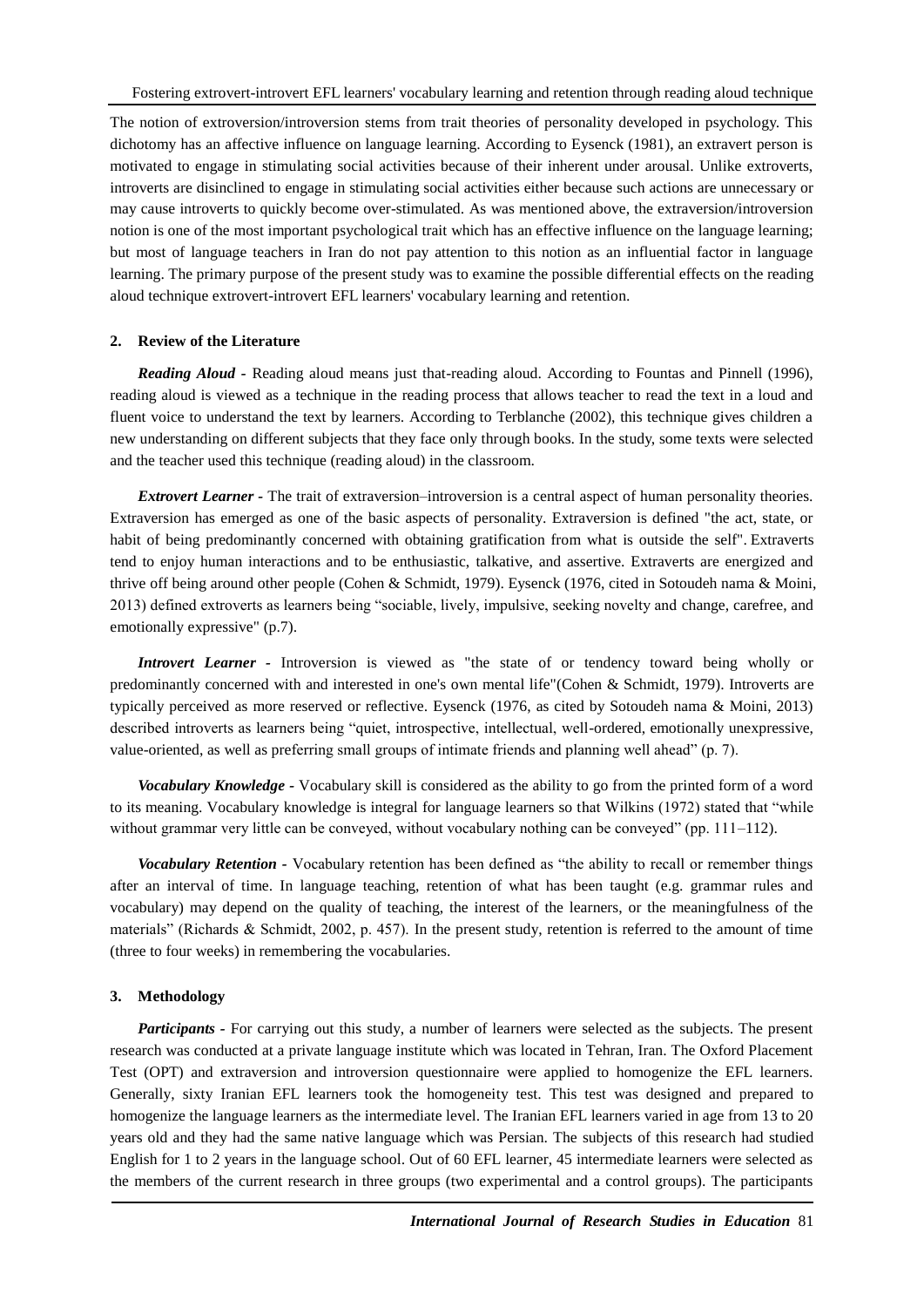The notion of extroversion/introversion stems from trait theories of personality developed in psychology. This dichotomy has an affective influence on language learning. According to Eysenck (1981), an extravert person is motivated to engage in stimulating social activities because of their inherent under arousal. Unlike extroverts, introverts are disinclined to engage in stimulating social activities either because such actions are unnecessary or may cause introverts to quickly become over-stimulated. As was mentioned above, the extraversion/introversion notion is one of the most important psychological trait which has an effective influence on the language learning; but most of language teachers in Iran do not pay attention to this notion as an influential factor in language learning. The primary purpose of the present study was to examine the possible differential effects on the reading aloud technique extrovert-introvert EFL learners' vocabulary learning and retention.

### **2. Review of the Literature**

*Reading Aloud -* Reading aloud means just that-reading aloud. According to Fountas and Pinnell (1996), reading aloud is viewed as a technique in the reading process that allows teacher to read the text in a loud and fluent voice to understand the text by learners. According to Terblanche (2002), this technique gives children a new understanding on different subjects that they face only through books. In the study, some texts were selected and the teacher used this technique (reading aloud) in the classroom.

*Extrovert Learner -* The trait of extraversion–introversion is a central aspect of human personality theories. Extraversion has emerged as one of the basic aspects of personality. Extraversion is defined "the act, state, or habit of being predominantly concerned with obtaining gratification from what is outside the self". Extraverts tend to enjoy human interactions and to be enthusiastic, talkative, and assertive. Extraverts are energized and thrive off being around other people (Cohen & Schmidt, 1979). Eysenck (1976, cited in Sotoudeh nama & Moini, 2013) defined extroverts as learners being "sociable, lively, impulsive, seeking novelty and change, carefree, and emotionally expressive" (p.7).

*Introvert Learner -* Introversion is viewed as "the state of or tendency toward being wholly or predominantly concerned with and interested in one's own mental life"(Cohen & Schmidt, 1979). Introverts are typically perceived as more reserved or reflective. Eysenck (1976, as cited by Sotoudeh nama & Moini, 2013) described introverts as learners being "quiet, introspective, intellectual, well-ordered, emotionally unexpressive, value-oriented, as well as preferring small groups of intimate friends and planning well ahead" (p. 7).

*Vocabulary Knowledge -* Vocabulary skill is considered as the ability to go from the printed form of a word to its meaning. Vocabulary knowledge is integral for language learners so that Wilkins (1972) stated that "while without grammar very little can be conveyed, without vocabulary nothing can be conveyed" (pp. 111–112).

*Vocabulary Retention -* Vocabulary retention has been defined as "the ability to recall or remember things after an interval of time. In language teaching, retention of what has been taught (e.g. grammar rules and vocabulary) may depend on the quality of teaching, the interest of the learners, or the meaningfulness of the materials" (Richards & Schmidt, 2002, p. 457). In the present study, retention is referred to the amount of time (three to four weeks) in remembering the vocabularies.

#### **3. Methodology**

*Participants -* For carrying out this study, a number of learners were selected as the subjects. The present research was conducted at a private language institute which was located in Tehran, Iran. The Oxford Placement Test (OPT) and extraversion and introversion questionnaire were applied to homogenize the EFL learners. Generally, sixty Iranian EFL learners took the homogeneity test. This test was designed and prepared to homogenize the language learners as the intermediate level. The Iranian EFL learners varied in age from 13 to 20 years old and they had the same native language which was Persian. The subjects of this research had studied English for 1 to 2 years in the language school. Out of 60 EFL learner, 45 intermediate learners were selected as the members of the current research in three groups (two experimental and a control groups). The participants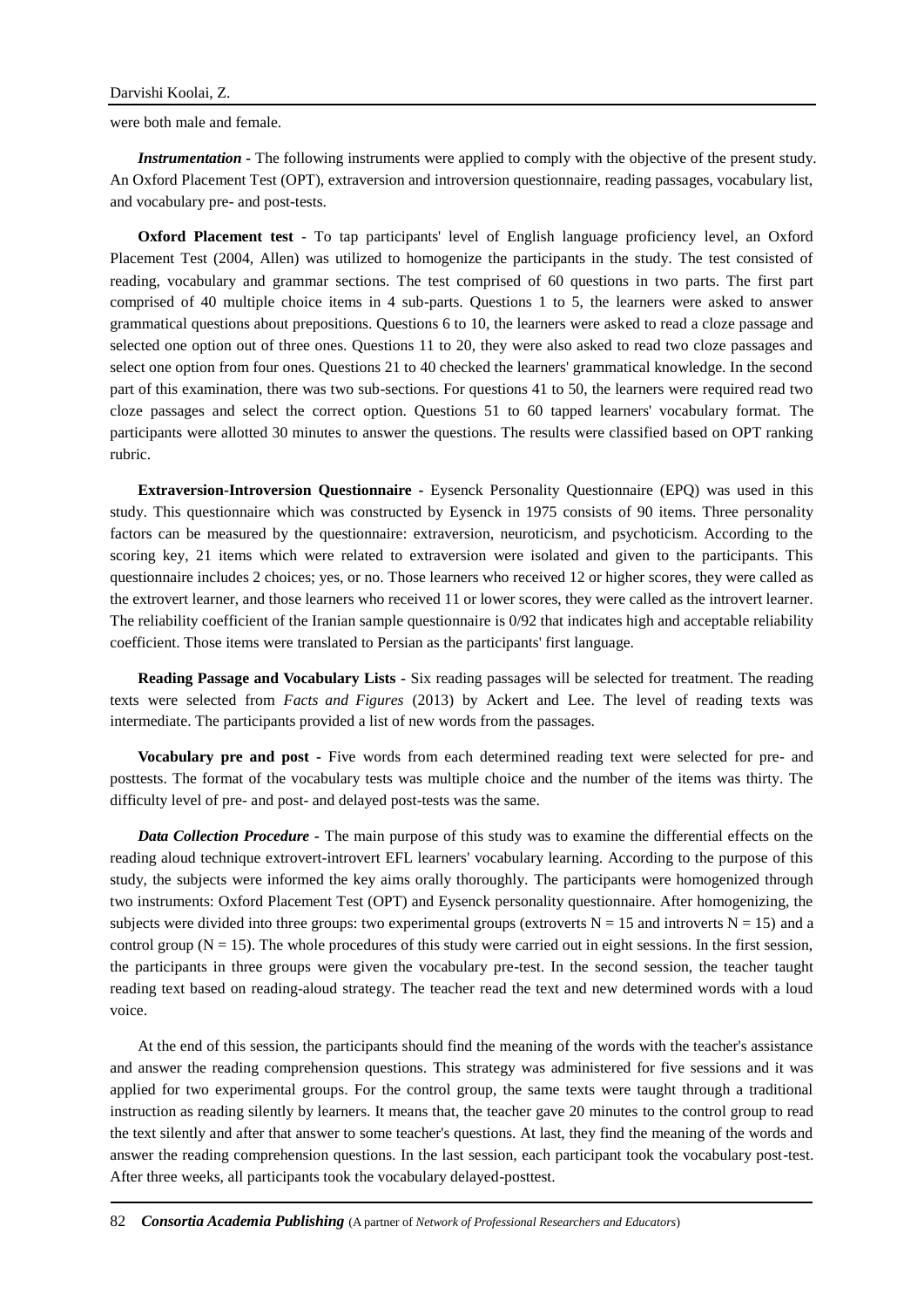were both male and female.

*Instrumentation -* The following instruments were applied to comply with the objective of the present study. An Oxford Placement Test (OPT), extraversion and introversion questionnaire, reading passages, vocabulary list, and vocabulary pre- and post-tests.

**Oxford Placement test** - To tap participants' level of English language proficiency level, an Oxford Placement Test (2004, Allen) was utilized to homogenize the participants in the study. The test consisted of reading, vocabulary and grammar sections. The test comprised of 60 questions in two parts. The first part comprised of 40 multiple choice items in 4 sub-parts. Questions 1 to 5, the learners were asked to answer grammatical questions about prepositions. Questions 6 to 10, the learners were asked to read a cloze passage and selected one option out of three ones. Questions 11 to 20, they were also asked to read two cloze passages and select one option from four ones. Questions 21 to 40 checked the learners' grammatical knowledge. In the second part of this examination, there was two sub-sections. For questions 41 to 50, the learners were required read two cloze passages and select the correct option. Questions 51 to 60 tapped learners' vocabulary format. The participants were allotted 30 minutes to answer the questions. The results were classified based on OPT ranking rubric.

**Extraversion-Introversion Questionnaire -** Eysenck Personality Questionnaire (EPQ) was used in this study. This questionnaire which was constructed by Eysenck in 1975 consists of 90 items. Three personality factors can be measured by the questionnaire: extraversion, neuroticism, and psychoticism. According to the scoring key, 21 items which were related to extraversion were isolated and given to the participants. This questionnaire includes 2 choices; yes, or no. Those learners who received 12 or higher scores, they were called as the extrovert learner, and those learners who received 11 or lower scores, they were called as the introvert learner. The reliability coefficient of the Iranian sample questionnaire is 0/92 that indicates high and acceptable reliability coefficient. Those items were translated to Persian as the participants' first language.

**Reading Passage and Vocabulary Lists -** Six reading passages will be selected for treatment. The reading texts were selected from *Facts and Figures* (2013) by Ackert and Lee. The level of reading texts was intermediate. The participants provided a list of new words from the passages.

**Vocabulary pre and post -** Five words from each determined reading text were selected for pre- and posttests. The format of the vocabulary tests was multiple choice and the number of the items was thirty. The difficulty level of pre- and post- and delayed post-tests was the same.

*Data Collection Procedure -* The main purpose of this study was to examine the differential effects on the reading aloud technique extrovert-introvert EFL learners' vocabulary learning. According to the purpose of this study, the subjects were informed the key aims orally thoroughly. The participants were homogenized through two instruments: Oxford Placement Test (OPT) and Eysenck personality questionnaire. After homogenizing, the subjects were divided into three groups: two experimental groups (extroverts  $N = 15$  and introverts  $N = 15$ ) and a control group ( $N = 15$ ). The whole procedures of this study were carried out in eight sessions. In the first session, the participants in three groups were given the vocabulary pre-test. In the second session, the teacher taught reading text based on reading-aloud strategy. The teacher read the text and new determined words with a loud voice.

At the end of this session, the participants should find the meaning of the words with the teacher's assistance and answer the reading comprehension questions. This strategy was administered for five sessions and it was applied for two experimental groups. For the control group, the same texts were taught through a traditional instruction as reading silently by learners. It means that, the teacher gave 20 minutes to the control group to read the text silently and after that answer to some teacher's questions. At last, they find the meaning of the words and answer the reading comprehension questions. In the last session, each participant took the vocabulary post-test. After three weeks, all participants took the vocabulary delayed-posttest.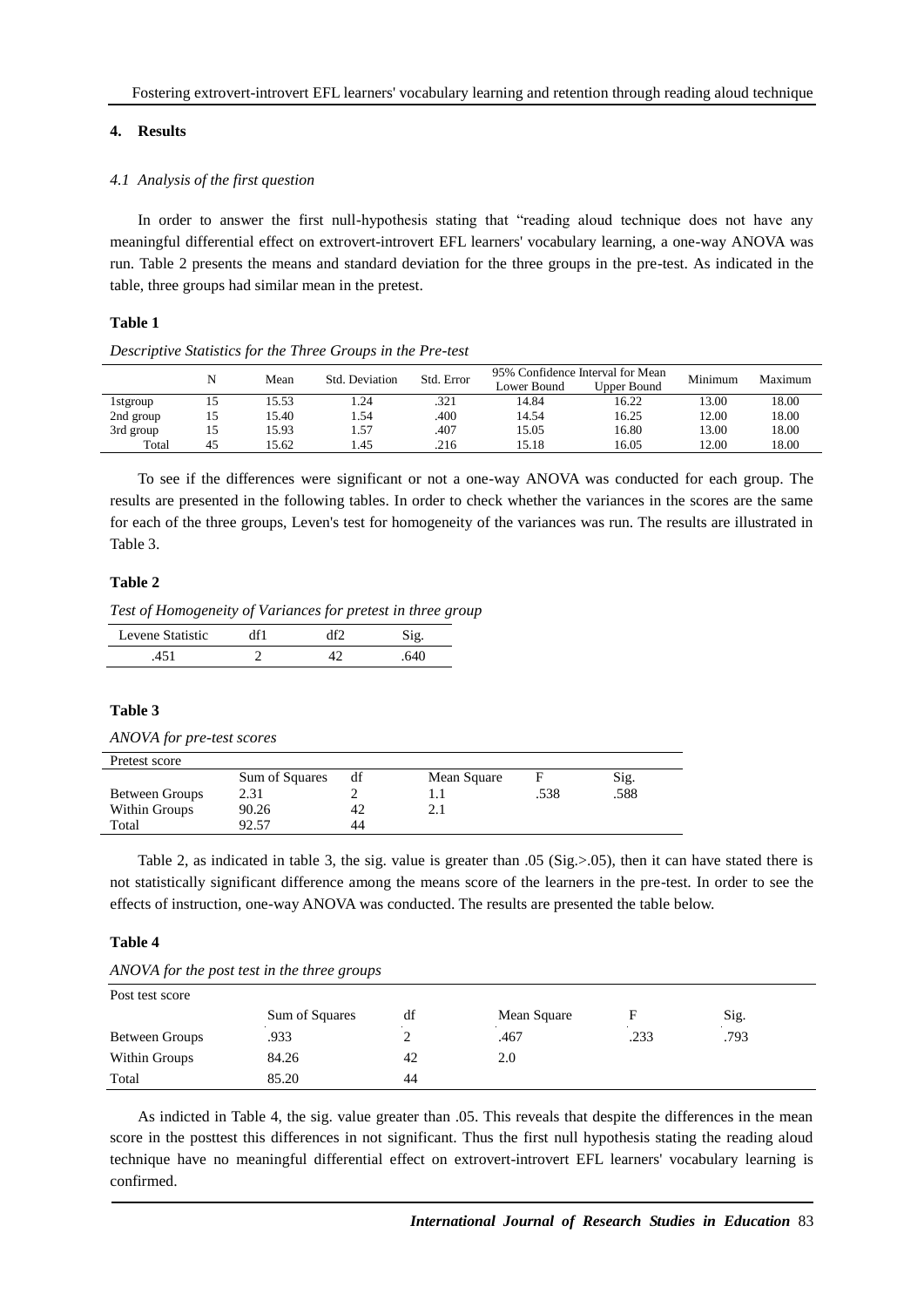# **4. Results**

# *4.1 Analysis of the first question*

In order to answer the first null-hypothesis stating that "reading aloud technique does not have any meaningful differential effect on extrovert-introvert EFL learners' vocabulary learning, a one-way ANOVA was run. Table 2 presents the means and standard deviation for the three groups in the pre-test. As indicated in the table, three groups had similar mean in the pretest.

# **Table 1**

#### *Descriptive Statistics for the Three Groups in the Pre-test*

|           |    |       | Std. Deviation | Std. Error | 95% Confidence Interval for Mean |             | Minimum | Maximum |
|-----------|----|-------|----------------|------------|----------------------------------|-------------|---------|---------|
|           |    | Mean  |                |            | Lower Bound                      | Upper Bound |         |         |
| 1 stgroup | 15 | 15.53 | .24            | .321       | 14.84                            | 16.22       | 13.00   | 18.00   |
| 2nd group | 15 | 15.40 | . .54          | 400        | 14.54                            | 16.25       | 12.00   | 18.00   |
| 3rd group | 15 | 15.93 | 1.57           | .407       | 15.05                            | 16.80       | 13.00   | 18.00   |
| Total     | 45 | 15.62 | . 45           | .216       | 15.18                            | 16.05       | 12.00   | 18.00   |

To see if the differences were significant or not a one-way ANOVA was conducted for each group. The results are presented in the following tables. In order to check whether the variances in the scores are the same for each of the three groups, Leven's test for homogeneity of the variances was run. The results are illustrated in Table 3.

## **Table 2**

*Test of Homogeneity of Variances for pretest in three group*

| Levene Statistic | 1f1 | ım |     |
|------------------|-----|----|-----|
|                  |     |    | 64C |

# **Table 3**

| ANOVA for pre-test scores |
|---------------------------|
|---------------------------|

| Pretest score         |                |    |             |      |      |
|-----------------------|----------------|----|-------------|------|------|
|                       | Sum of Squares | df | Mean Square |      | Sig. |
| <b>Between Groups</b> | 2.31           |    |             | .538 | .588 |
| Within Groups         | 90.26          | 42 |             |      |      |
| Total                 | 92.57          | 44 |             |      |      |

Table 2, as indicated in table 3, the sig. value is greater than .05 (Sig.>.05), then it can have stated there is not statistically significant difference among the means score of the learners in the pre-test. In order to see the effects of instruction, one-way ANOVA was conducted. The results are presented the table below.

# **Table 4**

|  | ANOVA for the post test in the three groups |  |  |  |  |  |  |  |  |
|--|---------------------------------------------|--|--|--|--|--|--|--|--|
|--|---------------------------------------------|--|--|--|--|--|--|--|--|

Post test score

| Post test score |                |    |             |      |      |  |  |  |
|-----------------|----------------|----|-------------|------|------|--|--|--|
|                 | Sum of Squares | df | Mean Square |      | Sig. |  |  |  |
| Between Groups  | .933           |    | .467        | .233 | .793 |  |  |  |
| Within Groups   | 84.26          | 42 | 2.0         |      |      |  |  |  |
| Total           | 85.20          | 44 |             |      |      |  |  |  |

As indicted in Table 4, the sig. value greater than .05. This reveals that despite the differences in the mean score in the posttest this differences in not significant. Thus the first null hypothesis stating the reading aloud technique have no meaningful differential effect on extrovert-introvert EFL learners' vocabulary learning is confirmed.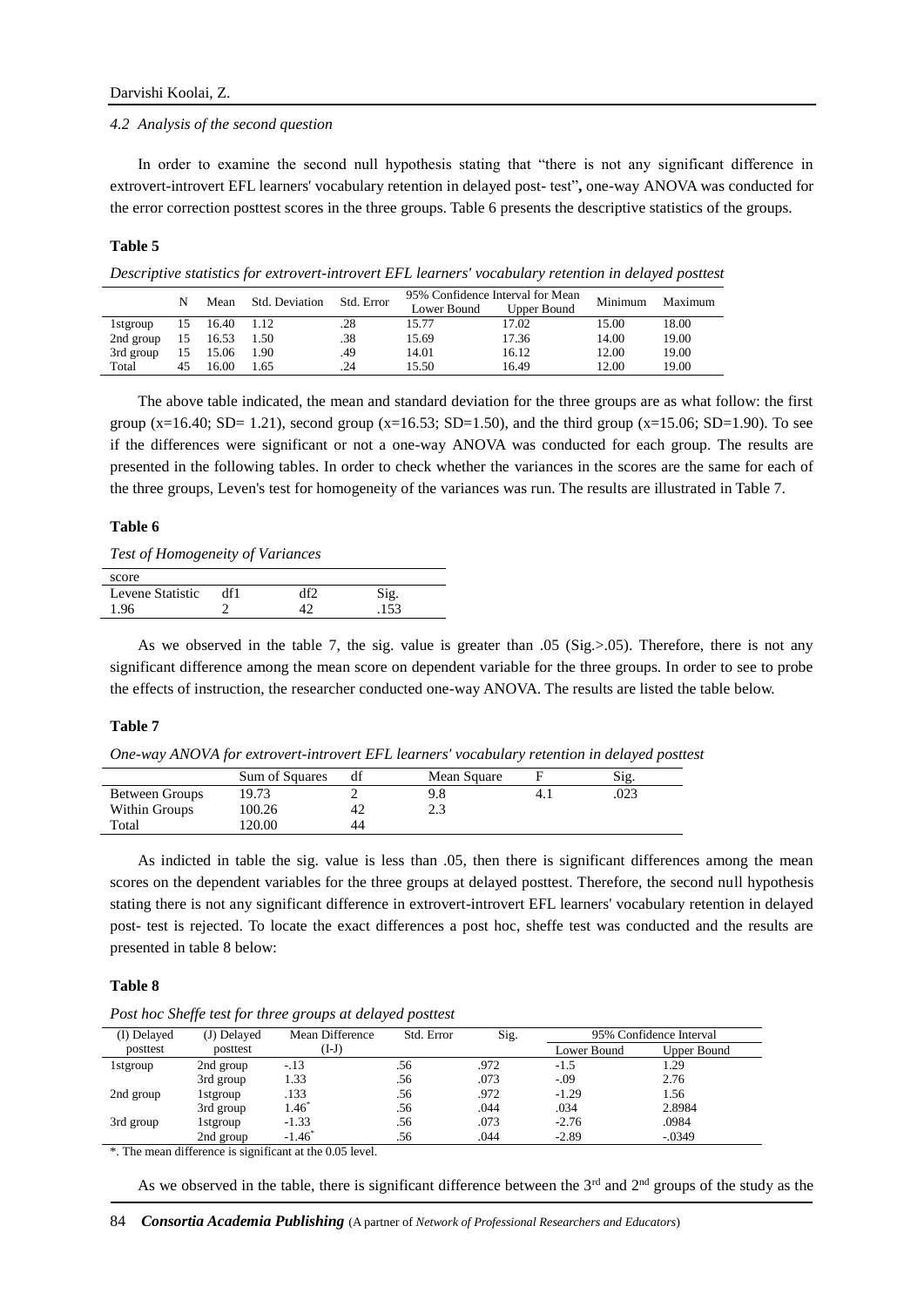#### *4.2 Analysis of the second question*

In order to examine the second null hypothesis stating that "there is not any significant difference in extrovert-introvert EFL learners' vocabulary retention in delayed post- test"**,** one-way ANOVA was conducted for the error correction posttest scores in the three groups. Table 6 presents the descriptive statistics of the groups.

#### **Table 5**

*Descriptive statistics for extrovert-introvert EFL learners' vocabulary retention in delayed posttest*

|           | N  | Mean  | Std. Deviation | Std. Error |             | 95% Confidence Interval for Mean | Minimum | Maximum |
|-----------|----|-------|----------------|------------|-------------|----------------------------------|---------|---------|
|           |    |       |                |            | Lower Bound | Upper Bound                      |         |         |
| 1 stgroup | 15 | 16.40 | 1.12           | .28        | 15.77       | 17.02                            | 15.00   | 18.00   |
| 2nd group | 15 | 16.53 | 1.50           | .38        | 15.69       | 17.36                            | 14.00   | 19.00   |
| 3rd group | 15 | 15.06 | 1.90           | .49        | 14.01       | 16.12                            | 12.00   | 19.00   |
| Total     | 45 | 16.00 | 1.65           | 24         | 15.50       | 16.49                            | 12.00   | 19.00   |

The above table indicated, the mean and standard deviation for the three groups are as what follow: the first group (x=16.40; SD= 1.21), second group (x=16.53; SD=1.50), and the third group (x=15.06; SD=1.90). To see if the differences were significant or not a one-way ANOVA was conducted for each group. The results are presented in the following tables. In order to check whether the variances in the scores are the same for each of the three groups, Leven's test for homogeneity of the variances was run. The results are illustrated in Table 7.

### **Table 6**

| Test of Homogeneity of Variances |  |
|----------------------------------|--|
|                                  |  |

| score            |     |    |     |  |
|------------------|-----|----|-----|--|
| Levene Statistic | df1 | ነጣ |     |  |
| 96               |     |    | 152 |  |

As we observed in the table 7, the sig. value is greater than .05 (Sig.>.05). Therefore, there is not any significant difference among the mean score on dependent variable for the three groups. In order to see to probe the effects of instruction, the researcher conducted one-way ANOVA. The results are listed the table below.

#### **Table 7**

*One-way ANOVA for extrovert-introvert EFL learners' vocabulary retention in delayed posttest*

|                | Sum of Squares |    | Mean Square |     | Sig  |
|----------------|----------------|----|-------------|-----|------|
| Between Groups | 19.73          |    | 9.8         | 4.1 | .023 |
| Within Groups  | 100.26         | 42 | د.ء         |     |      |
| Total          | 20.00          | 44 |             |     |      |

As indicted in table the sig. value is less than .05, then there is significant differences among the mean scores on the dependent variables for the three groups at delayed posttest. Therefore, the second null hypothesis stating there is not any significant difference in extrovert-introvert EFL learners' vocabulary retention in delayed post- test is rejected. To locate the exact differences a post hoc, sheffe test was conducted and the results are presented in table 8 below:

## **Table 8**

*Post hoc Sheffe test for three groups at delayed posttest*

| (I) Delayed | (J) Delayed | Mean Difference | Std. Error | Sig. | 95% Confidence Interval |             |  |
|-------------|-------------|-----------------|------------|------|-------------------------|-------------|--|
| posttest    | posttest    | (I-J)           |            |      | Lower Bound             | Upper Bound |  |
| 1 stgroup   | 2nd group   | $-.13$          | .56        | .972 | $-1.5$                  | 1.29        |  |
|             | 3rd group   | 1.33            | .56        | .073 | $-.09$                  | 2.76        |  |
| 2nd group   | 1stgroup    | .133            | .56        | .972 | $-1.29$                 | 1.56        |  |
|             | 3rd group   | $1.46*$         | .56        | .044 | .034                    | 2.8984      |  |
| 3rd group   | 1 stgroup   | $-1.33$         | .56        | .073 | $-2.76$                 | .0984       |  |
|             | 2nd group   | $-1.46^*$       | .56        | .044 | $-2.89$                 | $-.0349$    |  |

\*. The mean difference is significant at the 0.05 level.

As we observed in the table, there is significant difference between the  $3<sup>rd</sup>$  and  $2<sup>nd</sup>$  groups of the study as the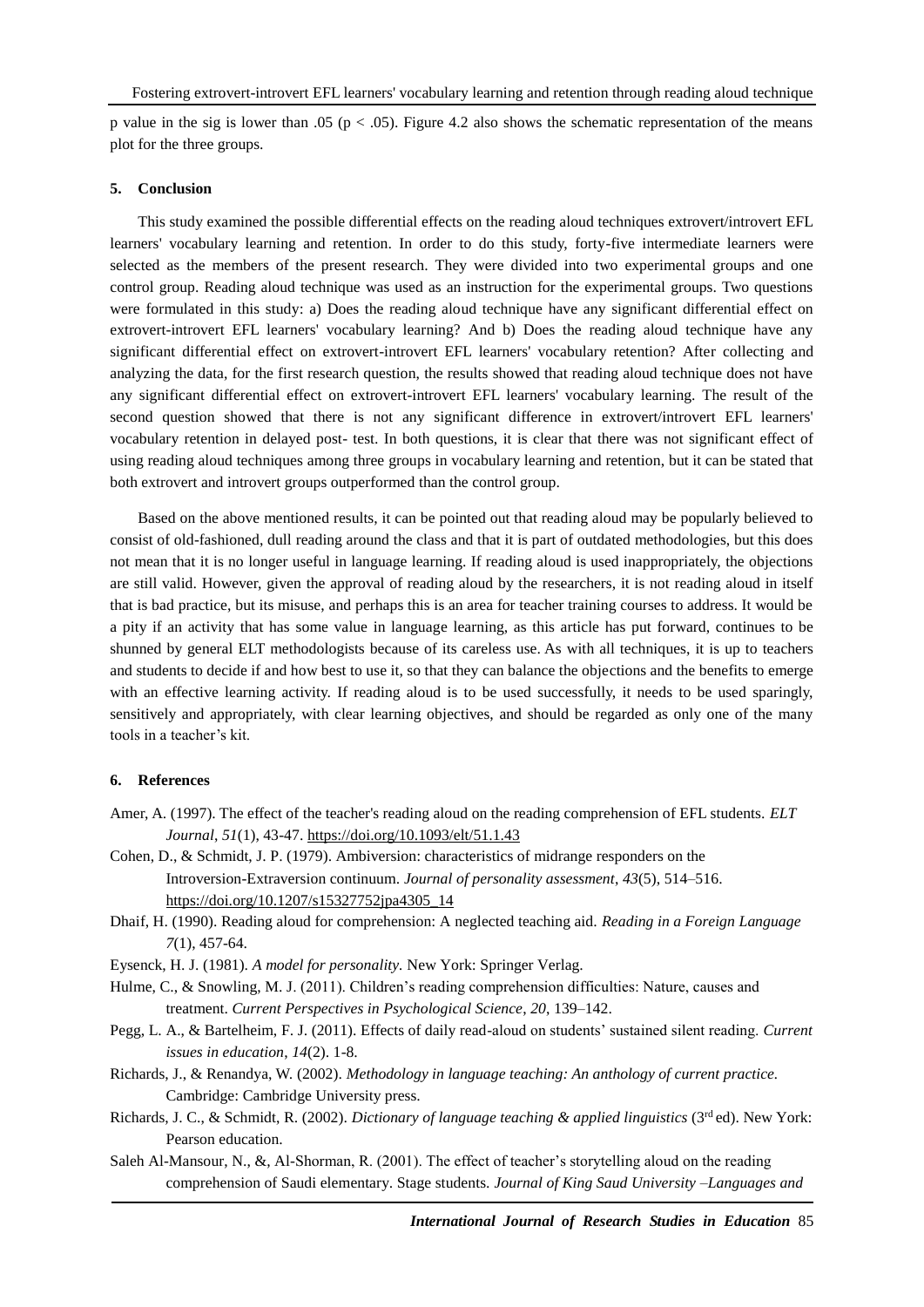p value in the sig is lower than .05 ( $p < .05$ ). Figure 4.2 also shows the schematic representation of the means plot for the three groups.

#### **5. Conclusion**

This study examined the possible differential effects on the reading aloud techniques extrovert/introvert EFL learners' vocabulary learning and retention. In order to do this study, forty-five intermediate learners were selected as the members of the present research. They were divided into two experimental groups and one control group. Reading aloud technique was used as an instruction for the experimental groups. Two questions were formulated in this study: a) Does the reading aloud technique have any significant differential effect on extrovert-introvert EFL learners' vocabulary learning? And b) Does the reading aloud technique have any significant differential effect on extrovert-introvert EFL learners' vocabulary retention? After collecting and analyzing the data, for the first research question, the results showed that reading aloud technique does not have any significant differential effect on extrovert-introvert EFL learners' vocabulary learning. The result of the second question showed that there is not any significant difference in extrovert/introvert EFL learners' vocabulary retention in delayed post- test. In both questions, it is clear that there was not significant effect of using reading aloud techniques among three groups in vocabulary learning and retention, but it can be stated that both extrovert and introvert groups outperformed than the control group.

Based on the above mentioned results, it can be pointed out that reading aloud may be popularly believed to consist of old-fashioned, dull reading around the class and that it is part of outdated methodologies, but this does not mean that it is no longer useful in language learning. If reading aloud is used inappropriately, the objections are still valid. However, given the approval of reading aloud by the researchers, it is not reading aloud in itself that is bad practice, but its misuse, and perhaps this is an area for teacher training courses to address. It would be a pity if an activity that has some value in language learning, as this article has put forward, continues to be shunned by general ELT methodologists because of its careless use. As with all techniques, it is up to teachers and students to decide if and how best to use it, so that they can balance the objections and the benefits to emerge with an effective learning activity. If reading aloud is to be used successfully, it needs to be used sparingly, sensitively and appropriately, with clear learning objectives, and should be regarded as only one of the many tools in a teacher's kit.

## **6. References**

- Amer, A. (1997). The effect of the teacher's reading aloud on the reading comprehension of EFL students. *ELT Journal*, *51*(1), 43-47. <https://doi.org/10.1093/elt/51.1.43>
- Cohen, D., & Schmidt, J. P. (1979). Ambiversion: characteristics of midrange responders on the Introversion-Extraversion continuum. *Journal of personality assessment*, *43*(5), 514–516. [https://doi.org/10.1207/s15327752jpa4305\\_14](https://doi.org/10.1207/s15327752jpa4305_14)
- Dhaif, H. (1990). Reading aloud for comprehension: A neglected teaching aid. *Reading in a Foreign Language 7*(1), 457-64.
- Eysenck, H. J. (1981). *A model for personality.* New York: Springer Verlag.
- Hulme, C., & Snowling, M. J. (2011). Children's reading comprehension difficulties: Nature, causes and treatment. *Current Perspectives in Psychological Science*, *20*, 139–142.
- Pegg, L. A., & Bartelheim, F. J. (2011). Effects of daily read-aloud on students' sustained silent reading. *Current issues in education*, *14*(2). 1-8.
- Richards, J., & Renandya, W. (2002). *Methodology in language teaching: An anthology of current practice.* Cambridge: Cambridge University press.
- Richards, J. C., & Schmidt, R. (2002). *Dictionary of language teaching & applied linguistics* (3rd ed). New York: Pearson education.
- Saleh Al-Mansour, N., &, Al-Shorman, R. (2001). The effect of teacher's storytelling aloud on the reading comprehension of Saudi elementary. Stage students. *Journal of King Saud University –Languages and*